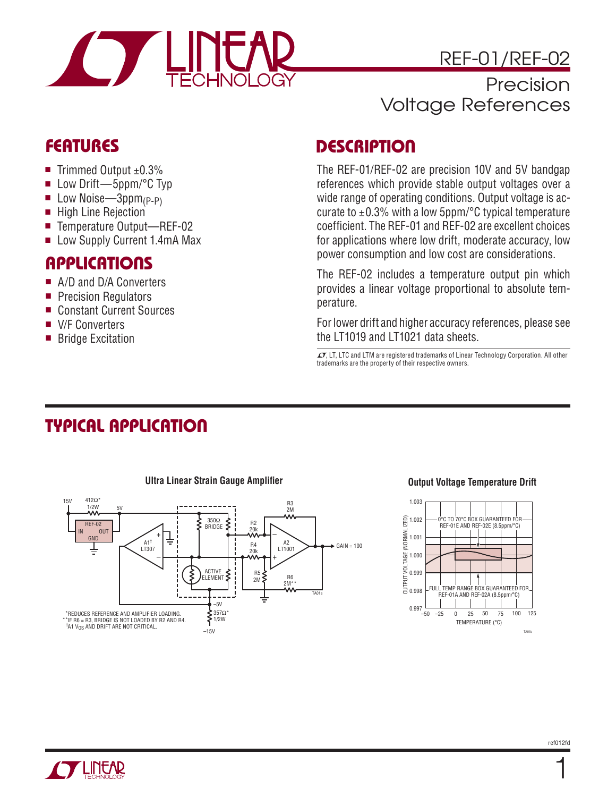

### Precision Voltage References

#### **FEATURES**

- Trimmed Output  $±0.3%$
- Low Drift—5ppm/°C Typ
- **De** Low Noise—3ppm<sub>(P-P)</sub>
- $\blacksquare$  High Line Rejection
- Temperature Output—REF-02
- Low Supply Current 1.4mA Max

#### **APPLICATIONS**

- A/D and D/A Converters
- **Precision Regulators**
- Constant Current Sources
- V/F Converters
- Bridge Excitation

#### **DESCRIPTION**

The REF-01/REF-02 are precision 10V and 5V bandgap references which provide stable output voltages over a wide range of operating conditions. Output voltage is accurate to  $\pm 0.3$ % with a low 5ppm/ $\degree$ C typical temperature coefficient. The REF-01 and REF-02 are excellent choices for applications where low drift, moderate accuracy, low power consumption and low cost are considerations.

The REF-02 includes a temperature output pin which provides a linear voltage proportional to absolute temperature.

For lower drift and higher accuracy references, please see the LT1019 and LT1021 data sheets.

 $\text{I}$ , LT, LTC and LTM are registered trademarks of Linear Technology Corporation. All other trademarks are the property of their respective owners.

### **TYPICAL APPLICATION**



#### **Ultra Linear Strain Gauge Amplifier Contract Contract Contract Contract Output Voltage Temperature Drift**



1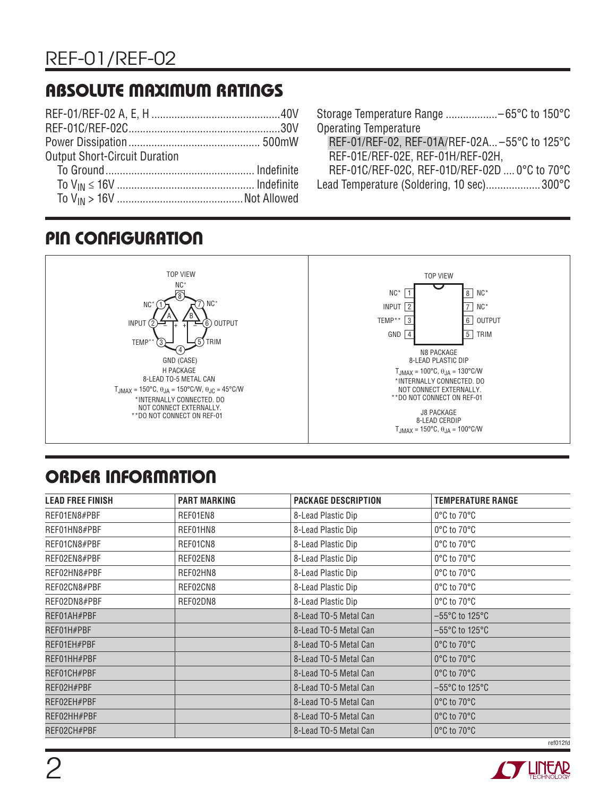## **ABSOLUTE MAXIMUM RATINGS**

| <b>Output Short-Circuit Duration</b> |  |
|--------------------------------------|--|
|                                      |  |
|                                      |  |
|                                      |  |
|                                      |  |

| REF-01/REF-02, REF-01A/REF-02A -55°C to 125°C |
|-----------------------------------------------|
|                                               |
| REF-01C/REF-02C, REF-01D/REF-02D  0°C to 70°C |
|                                               |

Lead Temperature (Soldering, 10 sec)...................300°C

### **PIN CONFIGURATION**



# **ORDER INFORMATION**

| <b>LEAD FREE FINISH</b> | <b>PART MARKING</b> | <b>PACKAGE DESCRIPTION</b> | <b>TEMPERATURE RANGE</b>            |
|-------------------------|---------------------|----------------------------|-------------------------------------|
| REF01EN8#PBF            | REF01EN8            | 8-Lead Plastic Dip         | 0°C to 70°C                         |
| REF01HN8#PBF            | REF01HN8            | 8-Lead Plastic Dip         | $0^{\circ}$ C to $70^{\circ}$ C     |
| REF01CN8#PBF            | REF01CN8            | 8-Lead Plastic Dip         | 0°C to 70°C                         |
| REF02EN8#PBF            | REF02EN8            | 8-Lead Plastic Dip         | 0°C to 70°C                         |
| REF02HN8#PBF            | REF02HN8            | 8-Lead Plastic Dip         | 0°C to 70°C                         |
| REF02CN8#PBF            | REF02CN8            | 8-Lead Plastic Dip         | 0°C to 70°C                         |
| REF02DN8#PBF            | REF02DN8            | 8-Lead Plastic Dip         | $0^{\circ}$ C to $70^{\circ}$ C     |
| REF01AH#PBF             |                     | 8-Lead TO-5 Metal Can      | $-55^{\circ}$ C to 125 $^{\circ}$ C |
| REF01H#PBF              |                     | 8-Lead TO-5 Metal Can      | $-55^{\circ}$ C to 125 $^{\circ}$ C |
| REF01EH#PBF             |                     | 8-Lead TO-5 Metal Can      | 0°C to 70°C                         |
| REF01HH#PBF             |                     | 8-Lead TO-5 Metal Can      | 0°C to 70°C                         |
| REF01CH#PBF             |                     | 8-Lead TO-5 Metal Can      | 0°C to 70°C                         |
| REF02H#PBF              |                     | 8-Lead TO-5 Metal Can      | $-55^{\circ}$ C to 125 $^{\circ}$ C |
| REF02EH#PBF             |                     | 8-Lead TO-5 Metal Can      | 0°C to 70°C                         |
| REF02HH#PBF             |                     | 8-Lead TO-5 Metal Can      | 0°C to 70°C                         |
| REF02CH#PBF             |                     | 8-Lead TO-5 Metal Can      | 0°C to 70°C                         |
|                         |                     |                            | ref012fd                            |

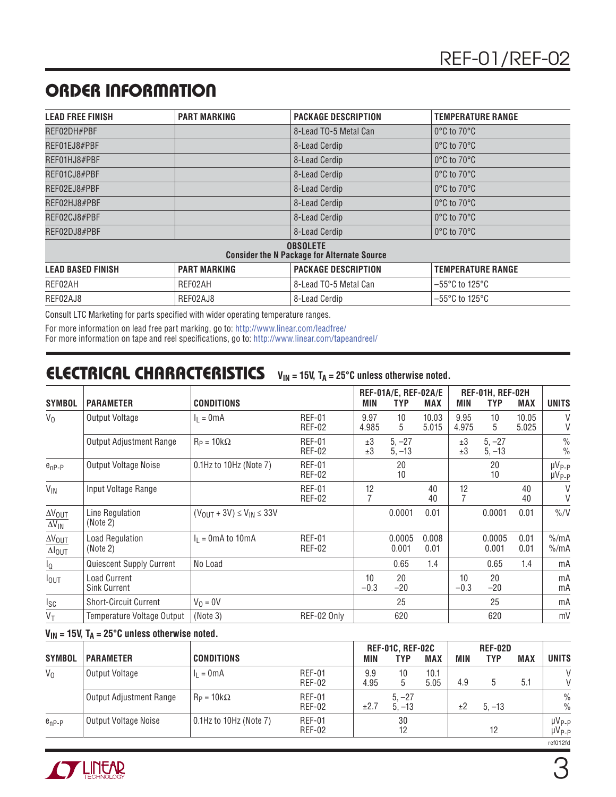## **ORDER INFORMATION**

| <b>LEAD FREE FINISH</b>  | <b>PART MARKING</b> | <b>PACKAGE DESCRIPTION</b>                                            | <b>TEMPERATURE RANGE</b>            |
|--------------------------|---------------------|-----------------------------------------------------------------------|-------------------------------------|
| REF02DH#PBF              |                     | 8-Lead TO-5 Metal Can                                                 | $0^{\circ}$ C to 70 $^{\circ}$ C    |
| REF01EJ8#PBF             |                     | 8-Lead Cerdip                                                         | $0^{\circ}$ C to 70 $^{\circ}$ C    |
| REF01HJ8#PBF             |                     | 8-Lead Cerdip                                                         | $0^{\circ}$ C to 70 $^{\circ}$ C    |
| REF01CJ8#PBF             |                     | 8-Lead Cerdip                                                         | $0^{\circ}$ C to 70 $^{\circ}$ C    |
| REF02EJ8#PBF             |                     | 8-Lead Cerdip                                                         | $0^{\circ}$ C to 70 $^{\circ}$ C    |
| REF02HJ8#PBF             |                     | 8-Lead Cerdip                                                         | $0^{\circ}$ C to 70 $^{\circ}$ C    |
| REF02CJ8#PBF             |                     | 8-Lead Cerdip                                                         | $0^{\circ}$ C to 70 $^{\circ}$ C    |
| REF02DJ8#PBF             |                     | 8-Lead Cerdip                                                         | $0^{\circ}$ C to 70 $^{\circ}$ C    |
|                          |                     | <b>OBSOLETE</b><br><b>Consider the N Package for Alternate Source</b> |                                     |
| <b>LEAD BASED FINISH</b> | <b>PART MARKING</b> | <b>PACKAGE DESCRIPTION</b>                                            | <b>TEMPERATURE RANGE</b>            |
| REF02AH                  | REF02AH             | 8-Lead TO-5 Metal Can                                                 | $-55^{\circ}$ C to 125 $^{\circ}$ C |
| REF02AJ8                 | REF02AJ8            | 8-Lead Cerdip                                                         | $-55^{\circ}$ C to 125 $^{\circ}$ C |

Consult LTC Marketing for parts specified with wider operating temperature ranges.

For more information on lead free part marking, go to: http://www.linear.com/leadfree/

For more information on tape and reel specifications, go to: http://www.linear.com/tapeandreel/

#### **ELECTRICAL CHARACTERISTICS** V<sub>IN</sub> = 15V, T<sub>A</sub> = 25°C unless otherwise noted.

| <b>SYMBOL</b>                                      | <b>PARAMETER</b>                           | <b>CONDITIONS</b>                    |                                | MIN           | REF-01A/E, REF-02A/E<br><b>TYP</b> | <b>MAX</b>     | <b>MIN</b>    | REF-01H, REF-02H<br><b>TYP</b> | <b>MAX</b>     | <b>UNITS</b>                         |
|----------------------------------------------------|--------------------------------------------|--------------------------------------|--------------------------------|---------------|------------------------------------|----------------|---------------|--------------------------------|----------------|--------------------------------------|
| $V_0$                                              | Output Voltage                             | $I_1 = 0mA$                          | <b>REF-01</b><br><b>REF-02</b> | 9.97<br>4.985 | 10<br>5                            | 10.03<br>5.015 | 9.95<br>4.975 | 10<br>5                        | 10.05<br>5.025 | $\vee$<br>V                          |
|                                                    | <b>Output Adjustment Range</b>             | $R_P = 10k\Omega$                    | <b>REF-01</b><br><b>REF-02</b> | ±3<br>±3      | $5, -27$<br>$5, -13$               |                | ±3<br>±3      | $5, -27$<br>$5, -13$           |                | $\frac{0}{0}$<br>$\frac{0}{0}$       |
| $e_{nP-P}$                                         | Output Voltage Noise                       | 0.1Hz to 10Hz (Note 7)               | <b>REF-01</b><br><b>REF-02</b> |               | 20<br>10                           |                |               | 20<br>10                       |                | $\mu V_{P-P}$<br>µV <sub>P-P</sub>   |
| $V_{IN}$                                           | Input Voltage Range                        |                                      | <b>REF-01</b><br><b>REF-02</b> | 12            |                                    | 40<br>40       | 12            |                                | 40<br>40       | V<br>V                               |
| $\Delta V_{\underline{OUT}}$<br>$\Delta V_{IN}$    | Line Regulation<br>(Note 2)                | $(V_{OIII} + 3V) \le V_{IN} \le 33V$ |                                |               | 0.0001                             | 0.01           |               | 0.0001                         | 0.01           | $\frac{\%}{V}$                       |
| $\Delta V_{\text{OUT}}$<br>$\Delta I_{\text{OUT}}$ | <b>Load Regulation</b><br>(Note 2)         | $I_1 = 0$ mA to 10mA                 | <b>REF-01</b><br><b>REF-02</b> |               | 0.0005<br>0.001                    | 0.008<br>0.01  |               | 0.0005<br>0.001                | 0.01<br>0.01   | $\frac{\%}{mA}$<br>$\frac{9}{6}$ /mA |
| ΙQ                                                 | Quiescent Supply Current                   | No Load                              |                                |               | 0.65                               | 1.4            |               | 0.65                           | 1.4            | mA                                   |
| $I_{\text{OUT}}$                                   | <b>Load Current</b><br><b>Sink Current</b> |                                      |                                | 10<br>$-0.3$  | 20<br>$-20$                        |                | 10<br>$-0.3$  | 20<br>$-20$                    |                | mA<br>mA                             |
| $I_{SC}$                                           | <b>Short-Circuit Current</b>               | $V_0 = 0V$                           |                                |               | 25                                 |                |               | 25                             |                | mA                                   |
| $V_T$                                              | Temperature Voltage Output                 | (Note 3)                             | REF-02 Only                    |               | 620                                |                |               | 620                            |                | mV                                   |

#### $V_{IN}$  = 15V,  $T_A$  = 25°C unless otherwise noted.

| <b>SYMBOL</b> | <b>PARAMETER</b>        | <b>CONDITIONS</b>      |                                | MIN         | <b>REF-01C, REF-02C</b><br>TYP | <b>MAX</b>   | <b>MIN</b> | <b>REF-02D</b><br><b>TYP</b> | <b>MAX</b> | <b>UNITS</b>                   |
|---------------|-------------------------|------------------------|--------------------------------|-------------|--------------------------------|--------------|------------|------------------------------|------------|--------------------------------|
| $V_0$         | Output Voltage          | $= 0mA$                | <b>REF-01</b><br><b>REF-02</b> | 9.9<br>4.95 | 10                             | 10.1<br>5.05 | 4.9        | 5                            | 5.1        | V<br>V                         |
|               | Output Adjustment Range | $R_P = 10k\Omega$      | <b>REF-01</b><br><b>REF-02</b> | ±2.7        | $5. -27$<br>$5. -13$           |              | ±2         | $5. - 13$                    |            | $\frac{0}{0}$<br>$\frac{0}{0}$ |
| $e_{nP-P}$    | Output Voltage Noise    | 0.1Hz to 10Hz (Note 7) | <b>REF-01</b><br>REF-02        |             | 30                             |              |            | 12                           |            | $\mu V_{P-P}$<br>$\mu V_{P-P}$ |
|               |                         |                        |                                |             |                                |              |            |                              |            | ref012fd                       |

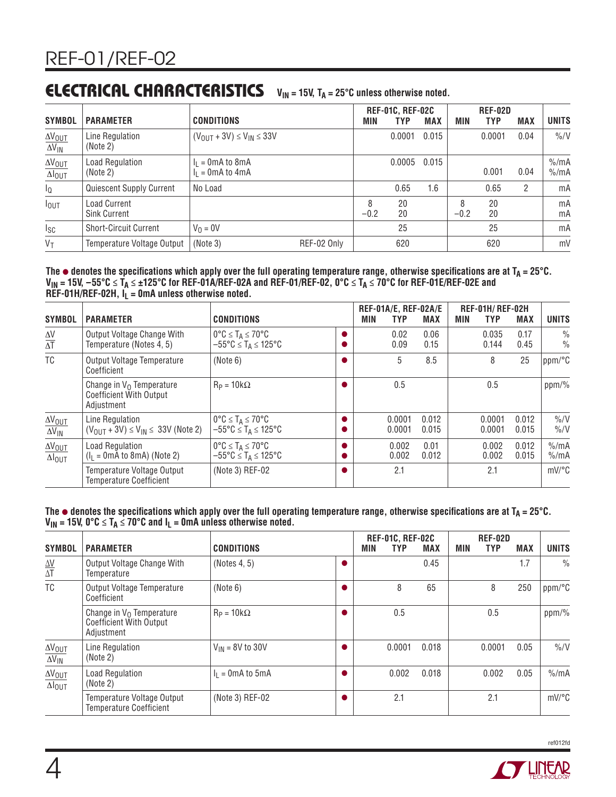#### **ELECTRICAL CHARACTERISTICS**  $V_{IN}$  = 15V,  $T_A$  = 25°C unless otherwise noted.

| <b>SYMBOL</b>                                                | <b>PARAMETER</b>                           | <b>CONDITIONS</b>                          |             | MIN         | <b>REF-01C, REF-02C</b><br>TYP | <b>MAX</b> | MIN         | <b>REF-02D</b><br><b>TYP</b> | <b>MAX</b> | <b>UNITS</b>                         |
|--------------------------------------------------------------|--------------------------------------------|--------------------------------------------|-------------|-------------|--------------------------------|------------|-------------|------------------------------|------------|--------------------------------------|
| $\Delta V_{\text{OUT}}$<br>$\overline{\Delta V_{\text{IN}}}$ | Line Regulation<br>(Note 2)                | $(V_{OUIT} + 3V) \le V_{IN} \le 33V$       |             |             | 0.0001                         | 0.015      |             | 0.0001                       | 0.04       | $\frac{9}{6}$                        |
| $\frac{\Delta V_{OUT}}{\Delta I_{OUT}}$                      | <b>Load Regulation</b><br>(Note 2)         | $I_1 = 0$ mA to 8mA<br>$I_1 = 0$ mA to 4mA |             |             | 0.0005                         | 0.015      |             | 0.001                        | 0.04       | $\frac{\%}{m}$ A<br>$\frac{\%}{m}$ A |
| $I_{\mathbb{Q}}$                                             | Quiescent Supply Current                   | No Load                                    |             |             | 0.65                           | 1.6        |             | 0.65                         | 2          | mA                                   |
| $I_{\text{OUT}}$                                             | <b>Load Current</b><br><b>Sink Current</b> |                                            |             | 8<br>$-0.2$ | 20<br>20                       |            | 8<br>$-0.2$ | 20<br>20                     |            | mA<br>mA                             |
| $I_{SC}$                                                     | <b>Short-Circuit Current</b>               | $V_0 = 0V$                                 |             |             | 25                             |            |             | 25                           |            | mA                                   |
| $V_T$                                                        | Temperature Voltage Output                 | (Note 3)                                   | REF-02 Only |             | 620                            |            |             | 620                          |            | mV                                   |

#### The  $\bullet$  denotes the specifications which apply over the full operating temperature range, otherwise specifications are at T<sub>A</sub> = 25°C. **VIN = 15V, –55°C ≤ TA ≤ ±125°C for REF-01A/REF-02A and REF-01/REF-02, 0°C ≤ TA ≤ 70°C for REF-01E/REF-02E and**   $R\ddot{E}F-01H/REF-02H$ ,  $I_L = 0mA$  unless otherwise noted.

| <b>SYMBOL</b>                                     | <b>PARAMETER</b>                                                                   | <b>CONDITIONS</b>                                                                                     | MIN | REF-01A/E, REF-02A/E<br>TYP | <b>MAX</b>     | MIN | <b>REF-01H/REF-02H</b><br><b>TYP</b> | <b>MAX</b>     | <b>UNITS</b>                      |
|---------------------------------------------------|------------------------------------------------------------------------------------|-------------------------------------------------------------------------------------------------------|-----|-----------------------------|----------------|-----|--------------------------------------|----------------|-----------------------------------|
| $\frac{\Delta V}{\Delta T}$                       | Output Voltage Change With<br>Temperature (Notes 4, 5)                             | $0^{\circ}C \leq T_A \leq 70^{\circ}C$<br>$-55^{\circ}$ C $\leq$ T <sub>A</sub> $\leq$ 125°C          |     | 0.02<br>0.09                | 0.06<br>0.15   |     | 0.035<br>0.144                       | 0.17<br>0.45   | $\frac{0}{0}$<br>$\frac{0}{0}$    |
| <b>TC</b>                                         | <b>Output Voltage Temperature</b><br>Coefficient                                   | (Note 6)                                                                                              |     | 5                           | 8.5            |     | 8                                    | 25             | ppm/°C                            |
|                                                   | Change in $V_{\Omega}$ Temperature<br><b>Coefficient With Output</b><br>Adjustment | $R_P = 10k\Omega$                                                                                     |     | 0.5                         |                |     | 0.5                                  |                | ppm/%                             |
| $\Delta V_{\text{OUT}}$<br>$\Delta V_{\text{IN}}$ | Line Regulation<br>$(V_{OUT} + 3V) \le V_{IN} \le 33V$ (Note 2)                    | $0^{\circ}$ C $\leq$ T <sub>A</sub> $\leq$ 70°C<br>$-55^{\circ}$ C $\leq$ T <sub>A</sub> $\leq$ 125°C |     | 0.0001<br>0.0001            | 0.012<br>0.015 |     | 0.0001<br>0.0001                     | 0.012<br>0.015 | $\frac{0}{0}$ /V<br>$\frac{9}{6}$ |
| $\Delta V_{OUT}$<br>$\Delta I_{OUT}$              | Load Regulation<br>$(I1 = 0mA to 8mA)$ (Note 2)                                    | $0^{\circ}C \leq T_A \leq 70^{\circ}C$<br>$-55^{\circ}$ C $\leq$ T <sub>A</sub> $\leq$ 125°C          |     | 0.002<br>0.002              | 0.01<br>0.012  |     | 0.002<br>0.002                       | 0.012<br>0.015 | $\%$ /mA<br>$\frac{\%}{m}$ A      |
|                                                   | Temperature Voltage Output<br>Temperature Coefficient                              | (Note 3) REF-02                                                                                       |     | 2.1                         |                |     | 2.1                                  |                | $mV$ <sup>o</sup> $C$             |

The  $\bullet$  denotes the specifications which apply over the full operating temperature range, otherwise specifications are at  $T_A = 25^\circ C$ .  $V_{IN}$  = 15V,  $0^{\circ}C \le T_A \le 70^{\circ}C$  and  $I_L$  = 0mA unless otherwise noted.

| <b>SYMBOL</b>                                         | <b>PARAMETER</b>                                                            | <b>CONDITIONS</b>    | MIN | <b>REF-01C, REF-02C</b><br>TYP | <b>MAX</b> | MIN | <b>REF-02D</b><br><b>TYP</b> | <b>MAX</b> | <b>UNITS</b>   |
|-------------------------------------------------------|-----------------------------------------------------------------------------|----------------------|-----|--------------------------------|------------|-----|------------------------------|------------|----------------|
| $\frac{\Delta V}{\Delta T}$                           | Output Voltage Change With<br>Temperature                                   | (Notes 4, 5)         |     |                                | 0.45       |     |                              | 1.7        | $\frac{0}{0}$  |
| TC                                                    | Output Voltage Temperature<br>Coefficient                                   | (Note 6)             |     | 8                              | 65         |     | 8                            | 250        | ppm/°C         |
|                                                       | Change in $V_0$ Temperature<br><b>Coefficient With Output</b><br>Adjustment | $R_P = 10k\Omega$    |     | 0.5                            |            |     | 0.5                          |            | ppm/%          |
| $\Delta V_{OUT}$<br>$\overline{\Delta V_{\text{IN}}}$ | Line Regulation<br>(Note 2)                                                 | $V_{IN}$ = 8V to 30V |     | 0.0001                         | 0.018      |     | 0.0001                       | 0.05       | $\frac{9}{6}$  |
| $\Delta V_{\text{OUT}}$<br>$\Delta I_{\text{OUT}}$    | Load Regulation<br>(Note 2)                                                 | $I_1 = 0$ mA to 5mA  |     | 0.002                          | 0.018      |     | 0.002                        | 0.05       | $\frac{\%}{m}$ |
|                                                       | Temperature Voltage Output<br><b>Temperature Coefficient</b>                | (Note 3) REF-02      |     | 2.1                            |            |     | 2.1                          |            | mV/°C          |

ref012fd

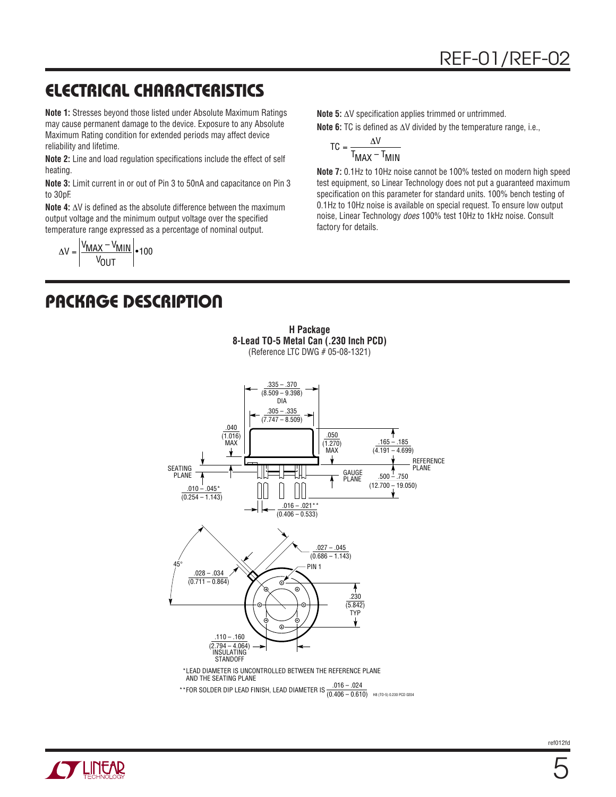## **ELECTRICAL CHARACTERISTICS**

**Note 1:** Stresses beyond those listed under Absolute Maximum Ratings may cause permanent damage to the device. Exposure to any Absolute Maximum Rating condition for extended periods may affect device reliability and lifetime.

**Note 2:** Line and load regulation specifications include the effect of self heating.

**Note 3:** Limit current in or out of Pin 3 to 50nA and capacitance on Pin 3 to 30pF.

**Note 4:**  $\Delta V$  is defined as the absolute difference between the maximum output voltage and the minimum output voltage over the specified temperature range expressed as a percentage of nominal output.

$$
\Delta V = \left| \frac{V_{MAX} - V_{MIN}}{V_{OUT}} \right| \cdot 100
$$

**Note 5:** ΔV specification applies trimmed or untrimmed.

**Note 6:** TC is defined as ΔV divided by the temperature range, i.e.,

$$
TC = \frac{\Delta V}{T_{MAX} - T_{MIN}}
$$

**Note 7:** 0.1Hz to 10Hz noise cannot be 100% tested on modern high speed test equipment, so Linear Technology does not put a guaranteed maximum specification on this parameter for standard units. 100% bench testing of 0.1Hz to 10Hz noise is available on special request. To ensure low output noise, Linear Technology does 100% test 10Hz to 1kHz noise. Consult factory for details.

#### **PACKAGE DESCRIPTION**



**H Package 8-Lead TO-5 Metal Can (.230 Inch PCD)** (Reference LTC DWG # 05-08-1321)

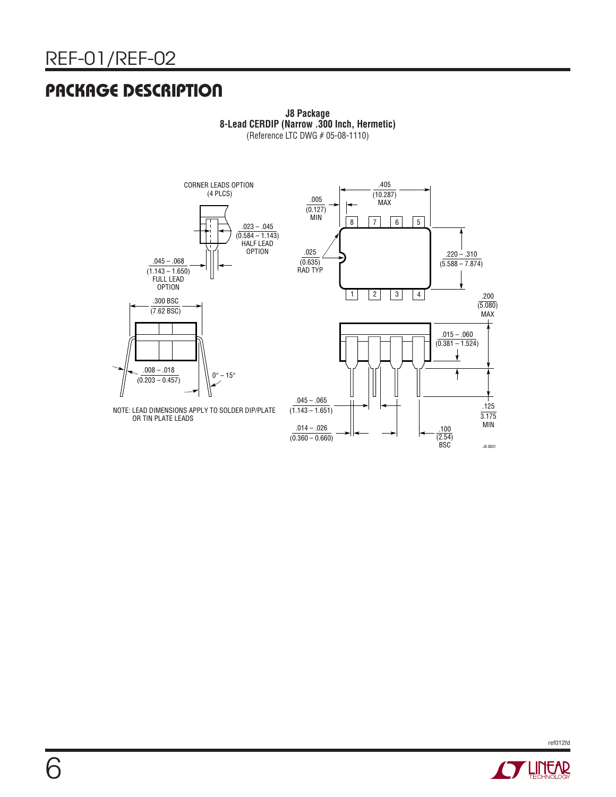#### **PACKAGE DESCRIPTION**



**J8 Package 8-Lead CERDIP (Narrow .300 Inch, Hermetic)** (Reference LTC DWG # 05-08-1110)



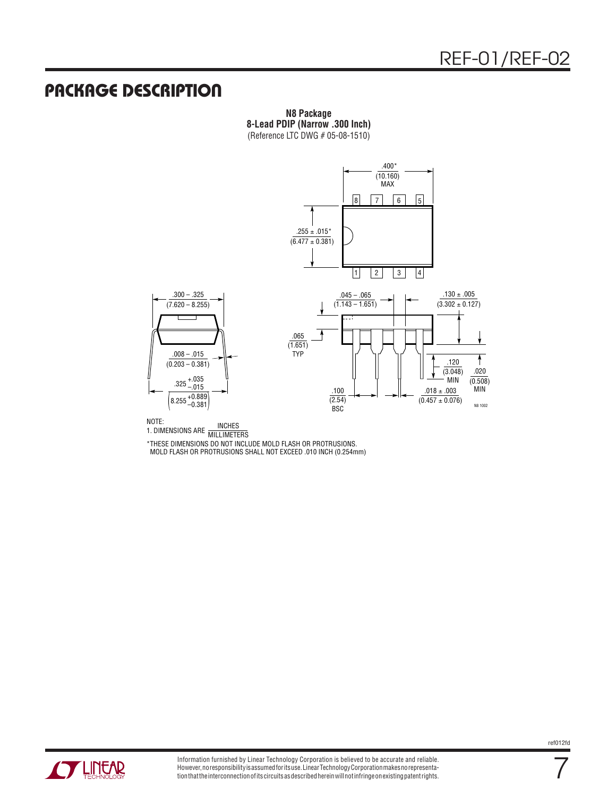#### **PACKAGE DESCRIPTION**

**N8 Package 8-Lead PDIP (Narrow .300 Inch)** (Reference LTC DWG # 05-08-1510)



NOTE:<br>1. DIMENSIONS ARE MILLIMETERS

\*THESE DIMENSIONS DO NOT INCLUDE MOLD FLASH OR PROTRUSIONS. MOLD FLASH OR PROTRUSIONS SHALL NOT EXCEED .010 INCH (0.254mm)



7